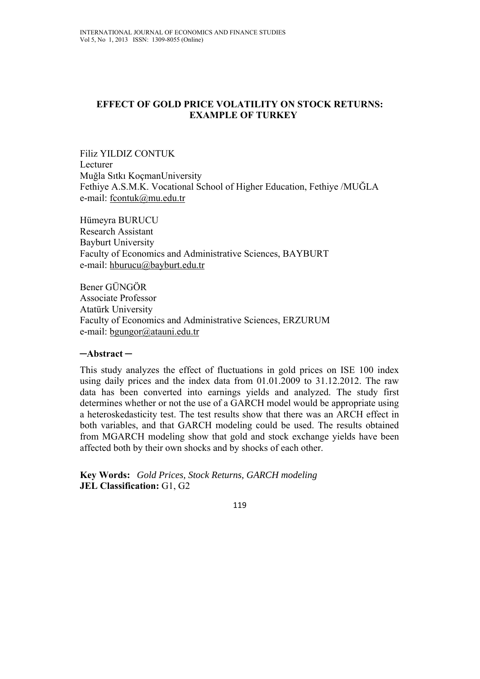# **EFFECT OF GOLD PRICE VOLATILITY ON STOCK RETURNS: EXAMPLE OF TURKEY**

Filiz YILDIZ CONTUK Lecturer Muğla Sıtkı KoçmanUniversity Fethiye A.S.M.K. Vocational School of Higher Education, Fethiye /MUĞLA e-mail: fcontuk@mu.edu.tr

Hümeyra BURUCU Research Assistant Bayburt University Faculty of Economics and Administrative Sciences, BAYBURT e-mail: hburucu@bayburt.edu.tr

Bener GÜNGÖR Associate Professor Atatürk University Faculty of Economics and Administrative Sciences, ERZURUM e-mail: bgungor@atauni.edu.tr

### **─Abstract ─**

This study analyzes the effect of fluctuations in gold prices on ISE 100 index using daily prices and the index data from 01.01.2009 to 31.12.2012. The raw data has been converted into earnings yields and analyzed. The study first determines whether or not the use of a GARCH model would be appropriate using a heteroskedasticity test. The test results show that there was an ARCH effect in both variables, and that GARCH modeling could be used. The results obtained from MGARCH modeling show that gold and stock exchange yields have been affected both by their own shocks and by shocks of each other.

**Key Words:** *Gold Prices, Stock Returns, GARCH modeling*  **JEL Classification:** G1, G2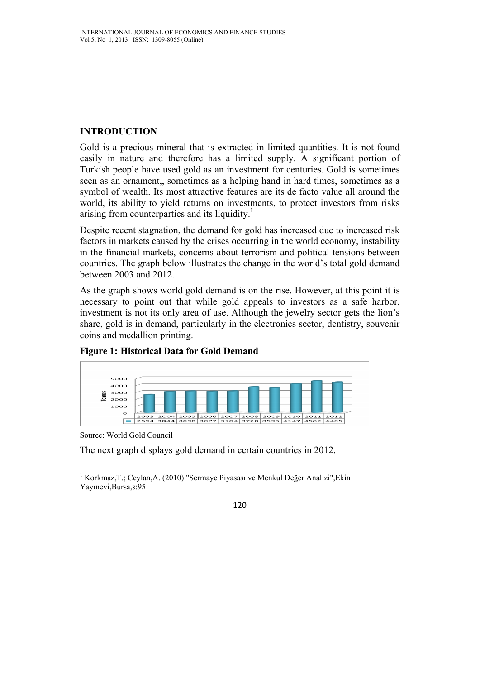# **INTRODUCTION**

Gold is a precious mineral that is extracted in limited quantities. It is not found easily in nature and therefore has a limited supply. A significant portion of Turkish people have used gold as an investment for centuries. Gold is sometimes seen as an ornament,, sometimes as a helping hand in hard times, sometimes as a symbol of wealth. Its most attractive features are its de facto value all around the world, its ability to yield returns on investments, to protect investors from risks arising from counterparties and its liquidity.<sup>1</sup>

Despite recent stagnation, the demand for gold has increased due to increased risk factors in markets caused by the crises occurring in the world economy, instability in the financial markets, concerns about terrorism and political tensions between countries. The graph below illustrates the change in the world's total gold demand between 2003 and 2012.

As the graph shows world gold demand is on the rise. However, at this point it is necessary to point out that while gold appeals to investors as a safe harbor, investment is not its only area of use. Although the jewelry sector gets the lion's share, gold is in demand, particularly in the electronics sector, dentistry, souvenir coins and medallion printing.



# **Figure 1: Historical Data for Gold Demand**

Source: World Gold Council

The next graph displays gold demand in certain countries in 2012.

 1 Korkmaz,T.; Ceylan,A. (2010) "Sermaye Piyasası ve Menkul Değer Analizi",Ekin Yayınevi,Bursa,s:95

<sup>120</sup>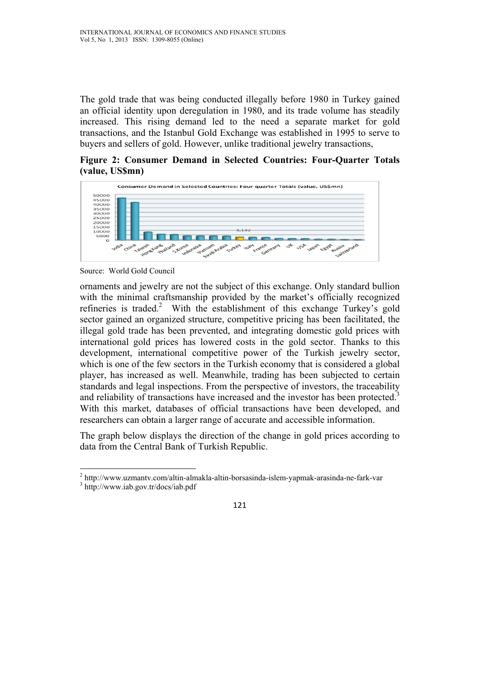The gold trade that was being conducted illegally before 1980 in Turkey gained an official identity upon deregulation in 1980, and its trade volume has steadily increased. This rising demand led to the need a separate market for gold transactions, and the Istanbul Gold Exchange was established in 1995 to serve to buyers and sellers of gold. However, unlike traditional jewelry transactions,

**Figure 2: Consumer Demand in Selected Countries: Four-Quarter Totals (value, US\$mn)** 



Source: World Gold Council

ornaments and jewelry are not the subject of this exchange. Only standard bullion with the minimal craftsmanship provided by the market's officially recognized refineries is traded.<sup>2</sup> With the establishment of this exchange Turkey's gold sector gained an organized structure, competitive pricing has been facilitated, the illegal gold trade has been prevented, and integrating domestic gold prices with international gold prices has lowered costs in the gold sector. Thanks to this development, international competitive power of the Turkish jewelry sector, which is one of the few sectors in the Turkish economy that is considered a global player, has increased as well. Meanwhile, trading has been subjected to certain standards and legal inspections. From the perspective of investors, the traceability and reliability of transactions have increased and the investor has been protected.<sup>3</sup> With this market, databases of official transactions have been developed, and researchers can obtain a larger range of accurate and accessible information.

The graph below displays the direction of the change in gold prices according to data from the Central Bank of Turkish Republic.

<sup>&</sup>lt;sup>2</sup> http://www.uzmantv.com/altin-almakla-altin-borsasinda-islem-yapmak-arasinda-ne-fark-var

<sup>&</sup>lt;sup>3</sup> http://www.iab.gov.tr/docs/iab.pdf

<sup>121</sup>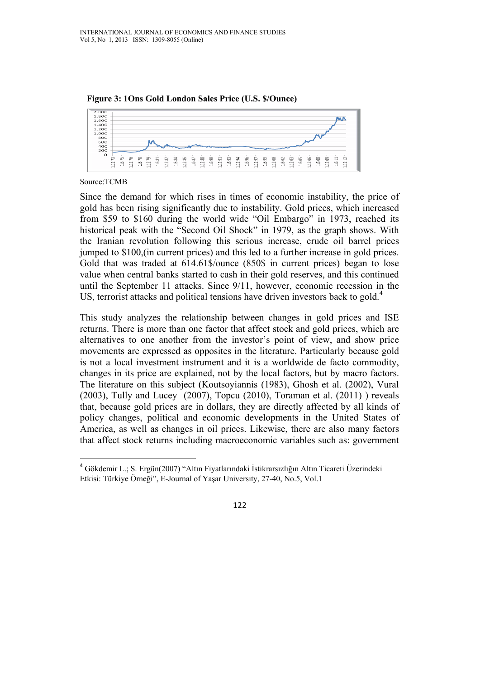

**Figure 3: 1Ons Gold London Sales Price (U.S. \$/Ounce)** 

Source:TCMB

Since the demand for which rises in times of economic instability, the price of gold has been rising significantly due to instability. Gold prices, which increased from \$59 to \$160 during the world wide "Oil Embargo" in 1973, reached its historical peak with the "Second Oil Shock" in 1979, as the graph shows. With the Iranian revolution following this serious increase, crude oil barrel prices jumped to \$100,(in current prices) and this led to a further increase in gold prices. Gold that was traded at 614.61\$/ounce (850\$ in current prices) began to lose value when central banks started to cash in their gold reserves, and this continued until the September 11 attacks. Since 9/11, however, economic recession in the US, terrorist attacks and political tensions have driven investors back to gold.<sup>4</sup>

This study analyzes the relationship between changes in gold prices and ISE returns. There is more than one factor that affect stock and gold prices, which are alternatives to one another from the investor's point of view, and show price movements are expressed as opposites in the literature. Particularly because gold is not a local investment instrument and it is a worldwide de facto commodity, changes in its price are explained, not by the local factors, but by macro factors. The literature on this subject (Koutsoyiannis (1983), Ghosh et al. (2002), Vural (2003), Tully and Lucey (2007), Topcu (2010), Toraman et al. (2011) ) reveals that, because gold prices are in dollars, they are directly affected by all kinds of policy changes, political and economic developments in the United States of America, as well as changes in oil prices. Likewise, there are also many factors that affect stock returns including macroeconomic variables such as: government

<sup>4</sup> Gökdemir L.; S. Ergün(2007) "Altın Fiyatlarındaki İstikrarsızlığın Altın Ticareti Üzerindeki Etkisi: Türkiye Örneği", E-Journal of Yaşar University, 27-40, No.5, Vol.1

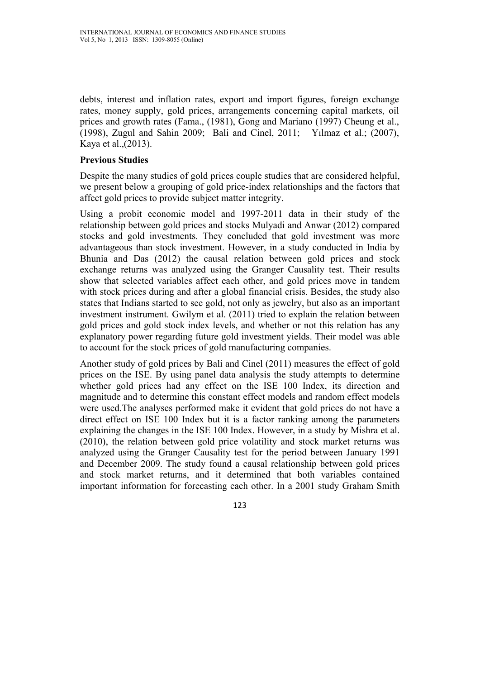debts, interest and inflation rates, export and import figures, foreign exchange rates, money supply, gold prices, arrangements concerning capital markets, oil prices and growth rates (Fama., (1981), Gong and Mariano (1997) Cheung et al., (1998), Zugul and Sahin 2009; Bali and Cinel, 2011; Yılmaz et al.; (2007), Kaya et al.,(2013).

### **Previous Studies**

Despite the many studies of gold prices couple studies that are considered helpful, we present below a grouping of gold price-index relationships and the factors that affect gold prices to provide subject matter integrity.

Using a probit economic model and 1997-2011 data in their study of the relationship between gold prices and stocks Mulyadi and Anwar (2012) compared stocks and gold investments. They concluded that gold investment was more advantageous than stock investment. However, in a study conducted in India by Bhunia and Das (2012) the causal relation between gold prices and stock exchange returns was analyzed using the Granger Causality test. Their results show that selected variables affect each other, and gold prices move in tandem with stock prices during and after a global financial crisis. Besides, the study also states that Indians started to see gold, not only as jewelry, but also as an important investment instrument. Gwilym et al. (2011) tried to explain the relation between gold prices and gold stock index levels, and whether or not this relation has any explanatory power regarding future gold investment yields. Their model was able to account for the stock prices of gold manufacturing companies.

Another study of gold prices by Bali and Cinel (2011) measures the effect of gold prices on the ISE. By using panel data analysis the study attempts to determine whether gold prices had any effect on the ISE 100 Index, its direction and magnitude and to determine this constant effect models and random effect models were used.The analyses performed make it evident that gold prices do not have a direct effect on ISE 100 Index but it is a factor ranking among the parameters explaining the changes in the ISE 100 Index. However, in a study by Mishra et al. (2010), the relation between gold price volatility and stock market returns was analyzed using the Granger Causality test for the period between January 1991 and December 2009. The study found a causal relationship between gold prices and stock market returns, and it determined that both variables contained important information for forecasting each other. In a 2001 study Graham Smith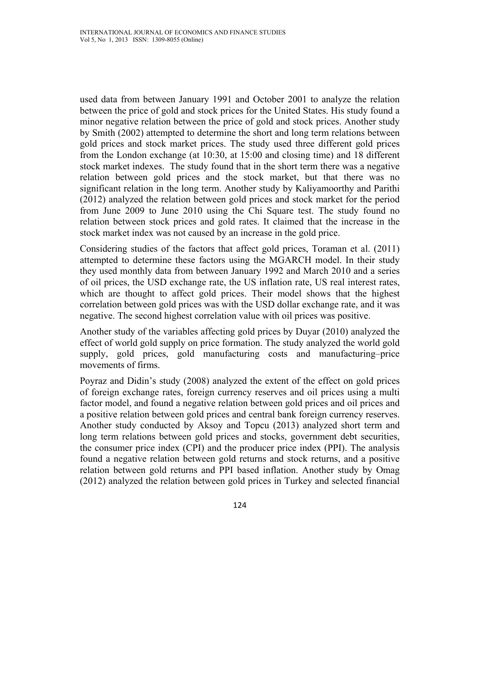used data from between January 1991 and October 2001 to analyze the relation between the price of gold and stock prices for the United States. His study found a minor negative relation between the price of gold and stock prices. Another study by Smith (2002) attempted to determine the short and long term relations between gold prices and stock market prices. The study used three different gold prices from the London exchange (at 10:30, at 15:00 and closing time) and 18 different stock market indexes. The study found that in the short term there was a negative relation between gold prices and the stock market, but that there was no significant relation in the long term. Another study by Kaliyamoorthy and Parithi (2012) analyzed the relation between gold prices and stock market for the period from June 2009 to June 2010 using the Chi Square test. The study found no relation between stock prices and gold rates. It claimed that the increase in the stock market index was not caused by an increase in the gold price.

Considering studies of the factors that affect gold prices, Toraman et al. (2011) attempted to determine these factors using the MGARCH model. In their study they used monthly data from between January 1992 and March 2010 and a series of oil prices, the USD exchange rate, the US inflation rate, US real interest rates, which are thought to affect gold prices. Their model shows that the highest correlation between gold prices was with the USD dollar exchange rate, and it was negative. The second highest correlation value with oil prices was positive.

Another study of the variables affecting gold prices by Duyar (2010) analyzed the effect of world gold supply on price formation. The study analyzed the world gold supply, gold prices, gold manufacturing costs and manufacturing–price movements of firms.

Poyraz and Didin's study (2008) analyzed the extent of the effect on gold prices of foreign exchange rates, foreign currency reserves and oil prices using a multi factor model, and found a negative relation between gold prices and oil prices and a positive relation between gold prices and central bank foreign currency reserves. Another study conducted by Aksoy and Topcu (2013) analyzed short term and long term relations between gold prices and stocks, government debt securities, the consumer price index (CPI) and the producer price index (PPI). The analysis found a negative relation between gold returns and stock returns, and a positive relation between gold returns and PPI based inflation. Another study by Omag (2012) analyzed the relation between gold prices in Turkey and selected financial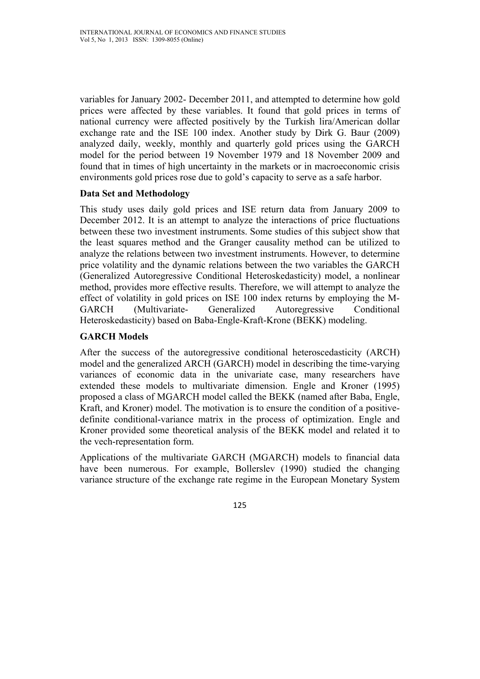variables for January 2002- December 2011, and attempted to determine how gold prices were affected by these variables. It found that gold prices in terms of national currency were affected positively by the Turkish lira/American dollar exchange rate and the ISE 100 index. Another study by Dirk G. Baur (2009) analyzed daily, weekly, monthly and quarterly gold prices using the GARCH model for the period between 19 November 1979 and 18 November 2009 and found that in times of high uncertainty in the markets or in macroeconomic crisis environments gold prices rose due to gold's capacity to serve as a safe harbor.

### **Data Set and Methodology**

This study uses daily gold prices and ISE return data from January 2009 to December 2012. It is an attempt to analyze the interactions of price fluctuations between these two investment instruments. Some studies of this subject show that the least squares method and the Granger causality method can be utilized to analyze the relations between two investment instruments. However, to determine price volatility and the dynamic relations between the two variables the GARCH (Generalized Autoregressive Conditional Heteroskedasticity) model, a nonlinear method, provides more effective results. Therefore, we will attempt to analyze the effect of volatility in gold prices on ISE 100 index returns by employing the M-GARCH (Multivariate- Generalized Autoregressive Conditional Heteroskedasticity) based on Baba-Engle-Kraft-Krone (BEKK) modeling.

### **GARCH Models**

After the success of the autoregressive conditional heteroscedasticity (ARCH) model and the generalized ARCH (GARCH) model in describing the time-varying variances of economic data in the univariate case, many researchers have extended these models to multivariate dimension. Engle and Kroner (1995) proposed a class of MGARCH model called the BEKK (named after Baba, Engle, Kraft, and Kroner) model. The motivation is to ensure the condition of a positivedefinite conditional-variance matrix in the process of optimization. Engle and Kroner provided some theoretical analysis of the BEKK model and related it to the vech-representation form.

Applications of the multivariate GARCH (MGARCH) models to financial data have been numerous. For example, Bollerslev (1990) studied the changing variance structure of the exchange rate regime in the European Monetary System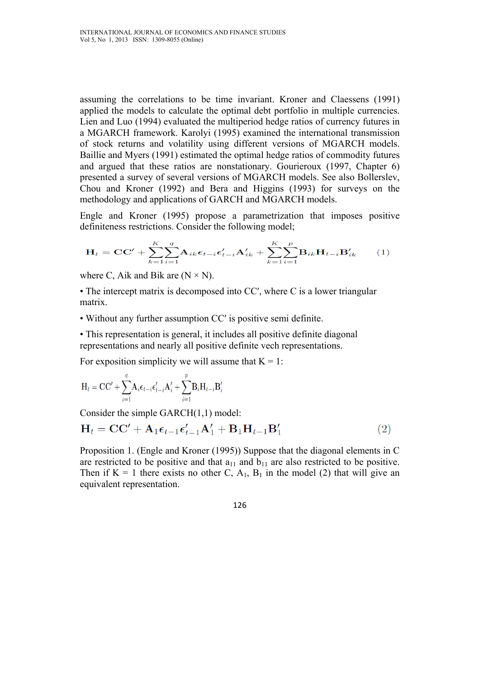assuming the correlations to be time invariant. Kroner and Claessens (1991) applied the models to calculate the optimal debt portfolio in multiple currencies. Lien and Luo (1994) evaluated the multiperiod hedge ratios of currency futures in a MGARCH framework. Karolyi (1995) examined the international transmission of stock returns and volatility using different versions of MGARCH models. Baillie and Myers (1991) estimated the optimal hedge ratios of commodity futures and argued that these ratios are nonstationary. Gourieroux (1997, Chapter 6) presented a survey of several versions of MGARCH models. See also Bollerslev, Chou and Kroner (1992) and Bera and Higgins (1993) for surveys on the methodology and applications of GARCH and MGARCH models.

Engle and Kroner (1995) propose a parametrization that imposes positive definiteness restrictions. Consider the following model;

$$
\mathbf{H}_{t} = \mathbf{C}\mathbf{C}' + \sum_{k=1}^{K} \sum_{i=1}^{q} \mathbf{A}_{ik} \boldsymbol{\epsilon}_{t-i} \boldsymbol{\epsilon}'_{t-i} \mathbf{A}'_{ik} + \sum_{k=1}^{K} \sum_{i=1}^{p} \mathbf{B}_{ik} \mathbf{H}_{t-i} \mathbf{B}'_{ik} \qquad (1)
$$

where C, Aik and Bik are  $(N \times N)$ .

• The intercept matrix is decomposed into CC', where C is a lower triangular matrix.

• Without any further assumption CC′ is positive semi definite.

• This representation is general, it includes all positive definite diagonal representations and nearly all positive definite vech representations.

For exposition simplicity we will assume that  $K = 1$ :

$$
\mathbf{H}_{t} = \mathbf{C}\mathbf{C}' + \sum_{i=1}^{q} \mathbf{A}_{i} \boldsymbol{\epsilon}_{t-i} \boldsymbol{\epsilon}'_{t-i} \mathbf{A}'_{i} + \sum_{i=1}^{p} \mathbf{B}_{i} \mathbf{H}_{t-i} \mathbf{B}'_{i}
$$

Consider the simple GARCH(1,1) model:

$$
\mathbf{H}_t = \mathbf{C}\mathbf{C}' + \mathbf{A}_1 \boldsymbol{\epsilon}_{t-1} \boldsymbol{\epsilon}_{t-1}' \mathbf{A}'_1 + \mathbf{B}_1 \mathbf{H}_{t-1} \mathbf{B}'_1
$$
 (2)

Proposition 1. (Engle and Kroner (1995)) Suppose that the diagonal elements in C are restricted to be positive and that  $a_{11}$  and  $b_{11}$  are also restricted to be positive. Then if  $K = 1$  there exists no other C,  $A_1$ ,  $B_1$  in the model (2) that will give an equivalent representation.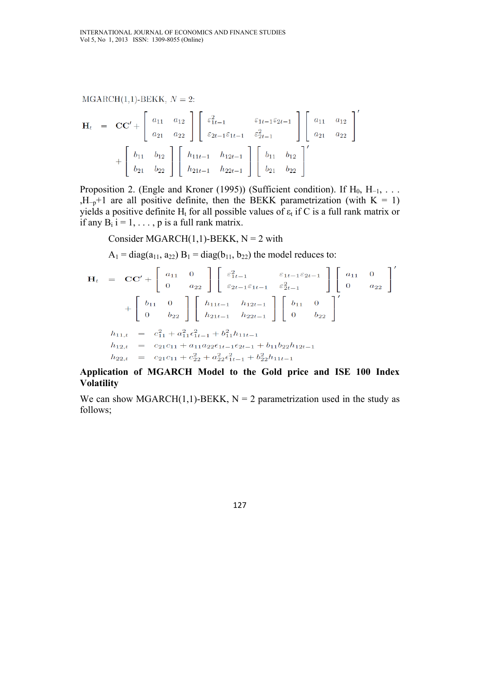$MGARCH(1,1)-BEKK, N = 2$ :

$$
\mathbf{H}_{t} = \mathbf{CC}' + \begin{bmatrix} a_{11} & a_{12} \\ a_{21} & a_{22} \end{bmatrix} \begin{bmatrix} \varepsilon_{1t-1}^{2} & \varepsilon_{1t-1} \varepsilon_{2t-1} \\ \varepsilon_{2t-1} \varepsilon_{1t-1} & \varepsilon_{2t-1}^{2} \end{bmatrix} \begin{bmatrix} a_{11} & a_{12} \\ a_{21} & a_{22} \end{bmatrix} + \begin{bmatrix} b_{11} & b_{12} \\ b_{21} & b_{22} \end{bmatrix} \begin{bmatrix} h_{11t-1} & h_{12t-1} \\ h_{21t-1} & h_{22t-1} \end{bmatrix} \begin{bmatrix} b_{11} & b_{12} \\ b_{21} & b_{22} \end{bmatrix}'
$$

Proposition 2. (Engle and Kroner (1995)) (Sufficient condition). If  $H_0$ ,  $H_{-1}$ , ... ,H<sub>-p</sub>+1 are all positive definite, then the BEKK parametrization (with K = 1) yields a positive definite H<sub>t</sub> for all possible values of  $\varepsilon_t$  if C is a full rank matrix or if any  $B_i$  i = 1, ..., p is a full rank matrix.

Consider MGARCH $(1,1)$ -BEKK, N = 2 with

 $A_1 = diag(a_{11}, a_{22}) B_1 = diag(b_{11}, b_{22})$  the model reduces to:

$$
\mathbf{H}_{t} = \mathbf{CC}' + \begin{bmatrix} a_{11} & 0 \\ 0 & a_{22} \end{bmatrix} \begin{bmatrix} \varepsilon_{1t-1}^{2} & \varepsilon_{1t-1} \varepsilon_{2t-1} \\ \varepsilon_{2t-1} \varepsilon_{1t-1} & \varepsilon_{2t-1}^{2} \end{bmatrix} \begin{bmatrix} a_{11} & 0 \\ 0 & a_{22} \end{bmatrix}'
$$

$$
+ \begin{bmatrix} b_{11} & 0 \\ 0 & b_{22} \end{bmatrix} \begin{bmatrix} h_{11t-1} & h_{12t-1} \\ h_{21t-1} & h_{22t-1} \end{bmatrix} \begin{bmatrix} b_{11} & 0 \\ 0 & b_{22} \end{bmatrix}'
$$

$$
h_{11,t} = c_{11}^{2} + a_{11}^{2} \varepsilon_{1t-1}^{2} + b_{11}^{2} h_{11t-1}
$$

$$
h_{12,t} = c_{21}c_{11} + a_{11}a_{22}\varepsilon_{1t-1}\varepsilon_{2t-1} + b_{11}b_{22}h_{12t-1}
$$

$$
h_{22,t} = c_{21}c_{11} + c_{22}^{2} + a_{22}^{2}\varepsilon_{1t-1}^{2} + b_{22}^{2}h_{11t-1}
$$

**Application of MGARCH Model to the Gold price and ISE 100 Index Volatility** 

We can show MGARCH $(1,1)$ -BEKK, N = 2 parametrization used in the study as follows;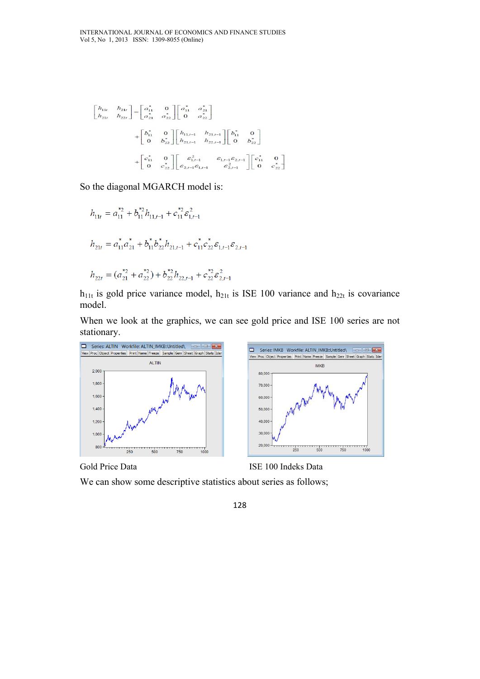$$
\begin{bmatrix} h_{11r} & h_{21r} \\ h_{21r} & h_{22r} \end{bmatrix} = \begin{bmatrix} a_{11}^* & 0 \\ a_{21}^* & a_{22}^* \end{bmatrix} \begin{bmatrix} a_{11}^* & a_{21}^* \\ 0 & a_{22}^* \end{bmatrix}
$$
  
+ 
$$
\begin{bmatrix} b_{11}^* & 0 \\ 0 & b_{22}^* \end{bmatrix} \begin{bmatrix} h_{11r-1} & h_{21r-1} \\ h_{21r-1} & h_{22r-1} \end{bmatrix} \begin{bmatrix} b_{11}^* & 0 \\ 0 & b_{22}^* \end{bmatrix}
$$
  
+ 
$$
\begin{bmatrix} c_{11}^* & 0 \\ 0 & c_{22}^* \end{bmatrix} \begin{bmatrix} \varepsilon_{1r-1}^2 & \varepsilon_{1,r-1} \varepsilon_{2,r-1} \\ \varepsilon_{2r-1} \varepsilon_{1r-1} & \varepsilon_{2,r-1}^2 \end{bmatrix} \begin{bmatrix} c_{11}^* & 0 \\ 0 & c_{22}^* \end{bmatrix}
$$

So the diagonal MGARCH model is:

$$
h_{11t} = a_{11}^{*2} + b_{11}^{*2}h_{11,t-1} + c_{11}^{*2} \varepsilon_{1,t-1}^2
$$
  
\n
$$
h_{21t} = a_{11}^{*}a_{21}^{*} + b_{11}^{*}b_{22}^{*}h_{21,t-1} + c_{11}^{*}c_{22}^{*} \varepsilon_{1,t-1} \varepsilon_{2,t-1}
$$
  
\n
$$
h_{22t} = (a_{21}^{*2} + a_{22}^{*2}) + b_{22}^{*2}h_{22,t-1} + c_{22}^{*2} \varepsilon_{2,t-1}^2
$$

 $h_{11t}$  is gold price variance model,  $h_{21t}$  is ISE 100 variance and  $h_{22t}$  is covariance model.

When we look at the graphics, we can see gold price and ISE 100 series are not stationary.





We can show some descriptive statistics about series as follows;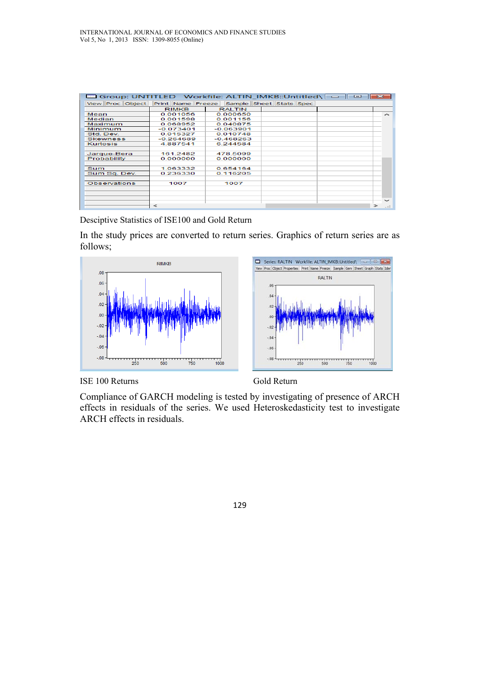| □ Group: UNTITLED Workfile: ALTIN IMKB::Untitled\ =   □ |              |                                           |  | -23                      |
|---------------------------------------------------------|--------------|-------------------------------------------|--|--------------------------|
| View Proc Object                                        |              | Print Name Freeze Sample Sheet Stats Spec |  |                          |
|                                                         | <b>RIMKB</b> | <b>RALTIN</b>                             |  |                          |
| Mean                                                    | 0.001056     | 0.000650                                  |  | ∼                        |
| Median                                                  | 0.001598     | 0.001156                                  |  |                          |
| Maximum                                                 | 0.068952     | 0.040875                                  |  |                          |
| Minimum                                                 | $-0.073401$  | $-0.063901$                               |  |                          |
| Std. Dev.                                               | 0.015327     | 0.010748                                  |  |                          |
| <b>Skewness</b>                                         | $-0.264689$  | $-0.468263$                               |  |                          |
| Kurtosis                                                | 4.887541     | 6.244584                                  |  |                          |
|                                                         |              |                                           |  |                          |
| Jarque-Bera                                             | 161 2482     | 478.5099                                  |  |                          |
| Probability                                             | 0.000000     | 0.000000                                  |  |                          |
|                                                         |              |                                           |  |                          |
| <b>Sum</b>                                              | 1.063332     | 0.654164                                  |  |                          |
| Sum Sq. Dev.                                            | 0.236330     | 0.116205                                  |  |                          |
|                                                         |              |                                           |  |                          |
| Observations                                            | 1007         | 1007                                      |  |                          |
|                                                         |              |                                           |  |                          |
|                                                         |              |                                           |  |                          |
|                                                         |              |                                           |  | $\overline{\phantom{a}}$ |
|                                                         | $\tilde{ }$  |                                           |  | $- = \pm$                |

Desciptive Statistics of ISE100 and Gold Return

In the study prices are converted to return series. Graphics of return series are as follows;





ISE 100 Returns Gold Return

Compliance of GARCH modeling is tested by investigating of presence of ARCH effects in residuals of the series. We used Heteroskedasticity test to investigate ARCH effects in residuals.

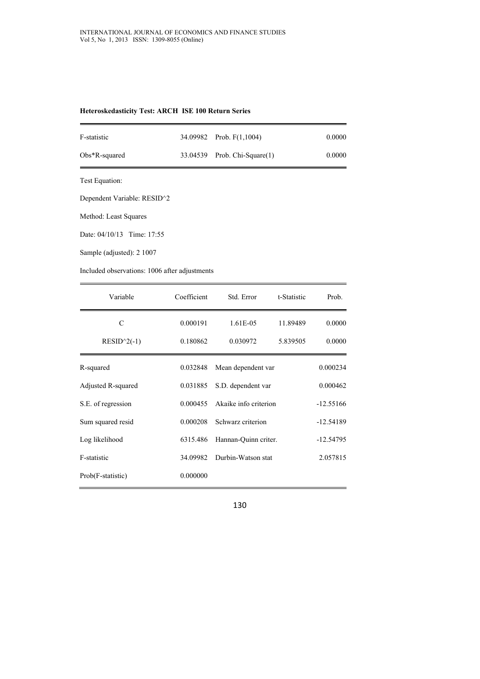| Heteroskedasticity Test: ARCH ISE 100 Return Series |  |  |
|-----------------------------------------------------|--|--|
|                                                     |  |  |

| F-statistic      | 34.09982 Prob. F(1,1004)     | 0.0000 |
|------------------|------------------------------|--------|
| $Obs*R$ -squared | 33.04539 Prob. Chi-Square(1) | 0.0000 |
|                  |                              |        |

Test Equation:

Dependent Variable: RESID^2

Method: Least Squares

Date: 04/10/13 Time: 17:55

Sample (adjusted): 2 1007

Included observations: 1006 after adjustments

| Variable           | Coefficient | Std. Error            | t-Statistic | Prob.       |
|--------------------|-------------|-----------------------|-------------|-------------|
| C                  | 0.000191    | 1.61E-05              | 11.89489    | 0.0000      |
| $RESID^2(-1)$      | 0.180862    | 0.030972              | 5.839505    | 0.0000      |
| R-squared          | 0.032848    | Mean dependent var    |             | 0.000234    |
| Adjusted R-squared | 0.031885    | S.D. dependent var    |             | 0.000462    |
| S.E. of regression | 0.000455    | Akaike info criterion |             | $-12.55166$ |
| Sum squared resid  | 0.000208    | Schwarz criterion     |             | $-12.54189$ |
| Log likelihood     | 6315.486    | Hannan-Quinn criter.  |             | $-12.54795$ |
| F-statistic        | 34.09982    | Durbin-Watson stat    |             | 2.057815    |
| Prob(F-statistic)  | 0.000000    |                       |             |             |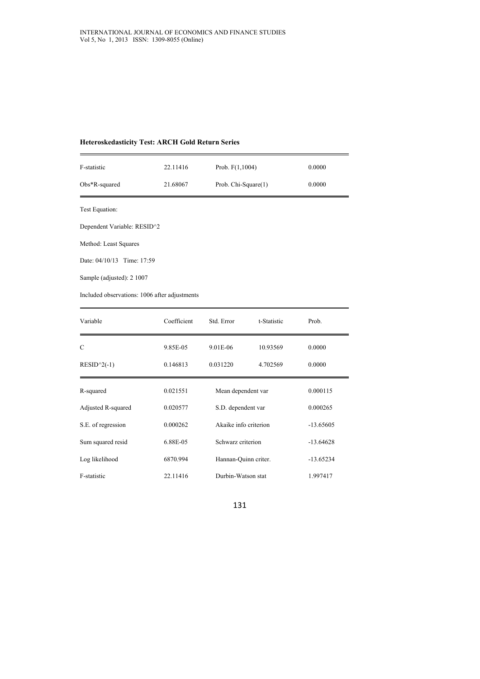#### **Heteroskedasticity Test: ARCH Gold Return Series**

| F-statistic      | 22.11416 | Prob. $F(1,1004)$   | 0.0000 |
|------------------|----------|---------------------|--------|
| $Obs*R$ -squared | 21.68067 | Prob. Chi-Square(1) | 0.0000 |

Test Equation:

Dependent Variable: RESID^2

Method: Least Squares

Date: 04/10/13 Time: 17:59

Sample (adjusted): 2 1007

Included observations: 1006 after adjustments

| Variable           | Coefficient | Std. Error            | t-Statistic | Prob.       |
|--------------------|-------------|-----------------------|-------------|-------------|
| C                  | 9.85E-05    | 9.01E-06              | 10.93569    | 0.0000      |
| $RESID^2(-1)$      | 0.146813    | 0.031220              | 4.702569    | 0.0000      |
| R-squared          | 0.021551    | Mean dependent var    |             | 0.000115    |
| Adjusted R-squared | 0.020577    | S.D. dependent var    |             | 0.000265    |
| S.E. of regression | 0.000262    | Akaike info criterion |             | $-13.65605$ |
| Sum squared resid  | 6.88E-05    | Schwarz criterion     |             | $-13.64628$ |
| Log likelihood     | 6870.994    | Hannan-Quinn criter.  |             | $-13.65234$ |
| F-statistic        | 22.11416    | Durbin-Watson stat    |             | 1.997417    |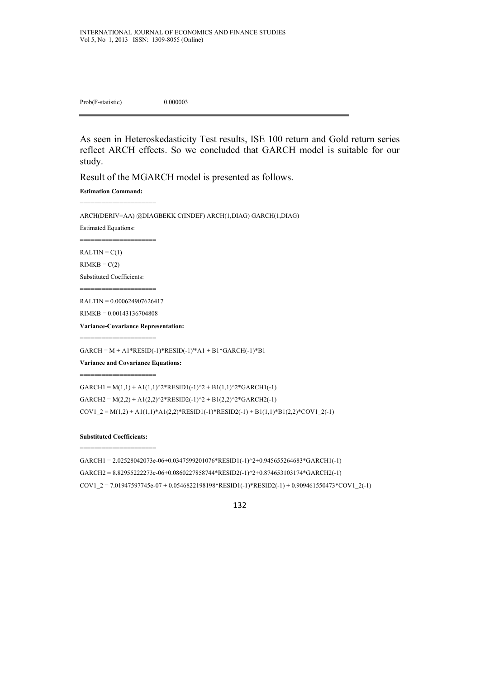Prob(F-statistic) 0.000003

As seen in Heteroskedasticity Test results, ISE 100 return and Gold return series reflect ARCH effects. So we concluded that GARCH model is suitable for our study.

Result of the MGARCH model is presented as follows.

**Estimation Command:** 

=======================

========================

ARCH(DERIV=AA) @DIAGBEKK C(INDEF) ARCH(1,DIAG) GARCH(1,DIAG)

Estimated Equations:

 $RALTIN = C(1)$ 

 $RIMKB = C(2)$ 

Substituted Coefficients:

======================= RALTIN = 0.000624907626417

RIMKB = 0.00143136704808

=======================

========================

**Variance-Covariance Representation:** 

 $GARCH = M + A1*RESID(-1)*RESID(-1)*A1 + B1*GARCH(-1)*B1$ 

**Variance and Covariance Equations:** 

 $GARCH1 = M(1,1) + A1(1,1)^{2*}RESID1(-1)^{2} + B1(1,1)^{2*}GARCH1(-1)$  $GARCH2 = M(2,2) + A1(2,2)^2 * RESID2(-1)^2 + B1(2,2)^2 * GARCH2(-1)$  $COV1_2 = M(1,2) + A1(1,1)*A1(2,2)*RESID1(-1)*RESID2(-1) + B1(1,1)*B1(2,2)*COVI_2(-1)$ 

**Substituted Coefficients:**  =======================

GARCH1 = 2.02528042073e-06+0.0347599201076\*RESID1(-1)^2+0.945655264683\*GARCH1(-1)  $GARCH2 = 8.82955222273e-06+0.0860227858744*RESID2(-1)^{2}+0.874653103174*GARCH2(-1)$  $COV1_2 = 7.01947597745e-07 + 0.0546822198198*RESID1(-1)*RESID2(-1) + 0.909461550473*COV1_2(-1)$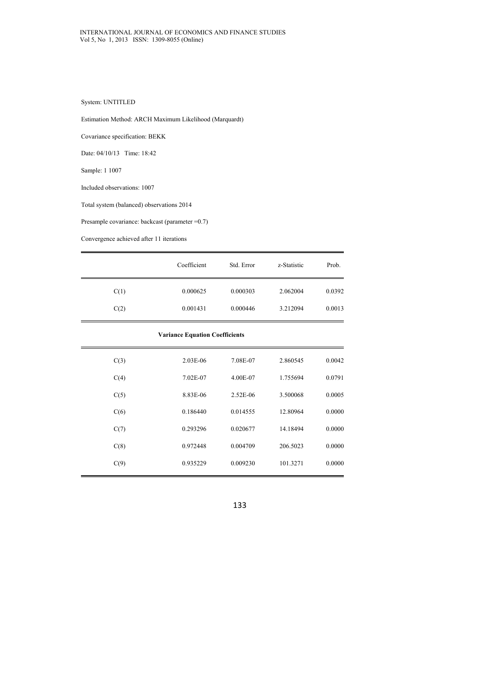### System: UNTITLED

Estimation Method: ARCH Maximum Likelihood (Marquardt)

Covariance specification: BEKK

Date: 04/10/13 Time: 18:42

Sample: 1 1007

Included observations: 1007

Total system (balanced) observations 2014

Presample covariance: backcast (parameter =0.7)

Convergence achieved after 11 iterations

|      | Coefficient | Std. Error | z-Statistic | Prob.  |
|------|-------------|------------|-------------|--------|
| C(1) | 0.000625    | 0.000303   | 2.062004    | 0.0392 |
| C(2) | 0.001431    | 0.000446   | 3.212094    | 0.0013 |

#### **Variance Equation Coefficients**

| C(3) | $2.03E-06$ | 7.08E-07   | 2.860545 | 0.0042 |
|------|------------|------------|----------|--------|
| C(4) | 7.02E-07   | 4.00E-07   | 1.755694 | 0.0791 |
| C(5) | 8.83E-06   | $2.52E-06$ | 3.500068 | 0.0005 |
| C(6) | 0.186440   | 0.014555   | 12.80964 | 0.0000 |
| C(7) | 0.293296   | 0.020677   | 14.18494 | 0.0000 |
| C(8) | 0.972448   | 0.004709   | 206.5023 | 0.0000 |
| C(9) | 0.935229   | 0.009230   | 101.3271 | 0.0000 |
|      |            |            |          |        |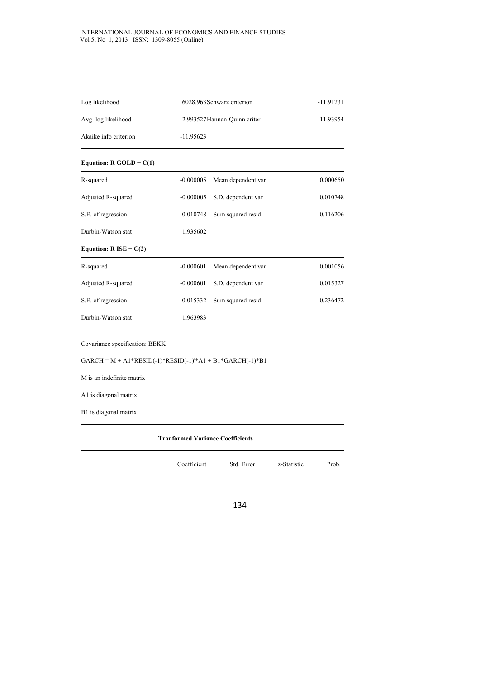#### INTERNATIONAL JOURNAL OF ECONOMICS AND FINANCE STUDIES Vol 5, No 1, 2013 ISSN: 1309-8055 (Online)

| Log likelihood        | 6028.963 Schwarz criterion    | $-11.91231$ |
|-----------------------|-------------------------------|-------------|
| Avg. log likelihood   | 2.993527 Hannan-Quinn criter. | -11.93954   |
| Akaike info criterion | $-11.95623$                   |             |

### **Equation: R GOLD = C(1)**

| R-squared                        | $-0.000005$ | Mean dependent var | 0.000650 |
|----------------------------------|-------------|--------------------|----------|
| Adjusted R-squared               | $-0.000005$ | S.D. dependent var | 0.010748 |
| S.E. of regression               | 0.010748    | Sum squared resid  | 0.116206 |
| Durbin-Watson stat               | 1.935602    |                    |          |
| Equation: $R \text{ ISE} = C(2)$ |             |                    |          |
| R-squared                        | $-0.000601$ | Mean dependent var | 0.001056 |
| Adjusted R-squared               | $-0.000601$ | S.D. dependent var | 0.015327 |
| S.E. of regression               | 0.015332    | Sum squared resid  | 0.236472 |
| Durbin-Watson stat               | 1.963983    |                    |          |

Covariance specification: BEKK

 $GARCH = M + A1*RESID(-1)*RESID(-1)*A1 + B1*GARCH(-1)*B1$ 

M is an indefinite matrix

A1 is diagonal matrix

B1 is diagonal matrix

| <b>Tranformed Variance Coefficients</b> |             |            |             |       |
|-----------------------------------------|-------------|------------|-------------|-------|
|                                         | Coefficient | Std. Error | z-Statistic | Prob. |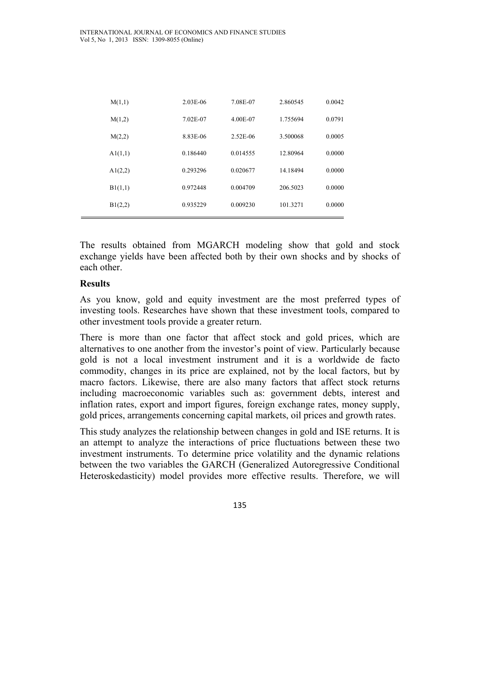| M(1,1)  | 2.03E-06 | 7.08E-07 | 2.860545 | 0.0042 |
|---------|----------|----------|----------|--------|
| M(1,2)  | 7.02E-07 | 4.00E-07 | 1.755694 | 0.0791 |
| M(2,2)  | 8.83E-06 | 2.52E-06 | 3.500068 | 0.0005 |
| A1(1,1) | 0.186440 | 0.014555 | 12.80964 | 0.0000 |
| A1(2,2) | 0.293296 | 0.020677 | 14.18494 | 0.0000 |
| B1(1,1) | 0.972448 | 0.004709 | 206.5023 | 0.0000 |
| B1(2,2) | 0.935229 | 0.009230 | 101.3271 | 0.0000 |

The results obtained from MGARCH modeling show that gold and stock exchange yields have been affected both by their own shocks and by shocks of each other.

### **Results**

As you know, gold and equity investment are the most preferred types of investing tools. Researches have shown that these investment tools, compared to other investment tools provide a greater return.

There is more than one factor that affect stock and gold prices, which are alternatives to one another from the investor's point of view. Particularly because gold is not a local investment instrument and it is a worldwide de facto commodity, changes in its price are explained, not by the local factors, but by macro factors. Likewise, there are also many factors that affect stock returns including macroeconomic variables such as: government debts, interest and inflation rates, export and import figures, foreign exchange rates, money supply, gold prices, arrangements concerning capital markets, oil prices and growth rates.

This study analyzes the relationship between changes in gold and ISE returns. It is an attempt to analyze the interactions of price fluctuations between these two investment instruments. To determine price volatility and the dynamic relations between the two variables the GARCH (Generalized Autoregressive Conditional Heteroskedasticity) model provides more effective results. Therefore, we will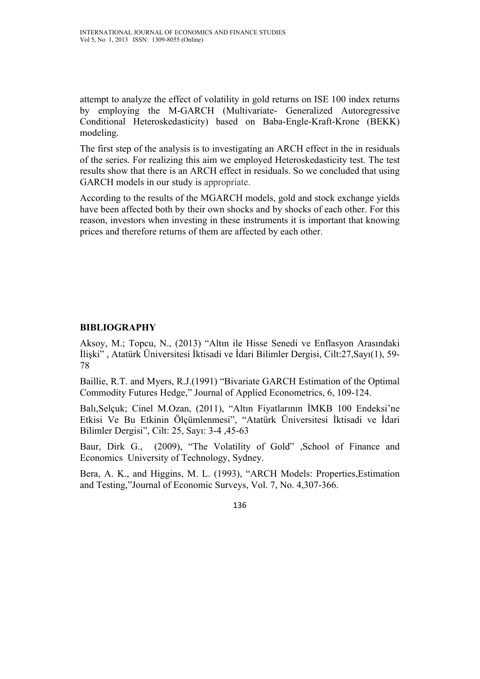attempt to analyze the effect of volatility in gold returns on ISE 100 index returns by employing the M-GARCH (Multivariate- Generalized Autoregressive Conditional Heteroskedasticity) based on Baba-Engle-Kraft-Krone (BEKK) modeling.

The first step of the analysis is to investigating an ARCH effect in the in residuals of the series. For realizing this aim we employed Heteroskedasticity test. The test results show that there is an ARCH effect in residuals. So we concluded that using GARCH models in our study is appropriate.

According to the results of the MGARCH models, gold and stock exchange yields have been affected both by their own shocks and by shocks of each other. For this reason, investors when investing in these instruments it is important that knowing prices and therefore returns of them are affected by each other.

# **BIBLIOGRAPHY**

Aksoy, M.; Topcu, N., (2013) "Altın ile Hisse Senedi ve Enflasyon Arasındaki İlişki" , Atatürk Üniversitesi İktisadi ve İdari Bilimler Dergisi, Cilt:27,Sayı(1), 59- 78

Baillie, R.T. and Myers, R.J.(1991) "Bivariate GARCH Estimation of the Optimal Commodity Futures Hedge," Journal of Applied Econometrics, 6, 109-124.

Balı,Selçuk; Cinel M.Ozan, (2011), "Altın Fiyatlarının İMKB 100 Endeksi'ne Etkisi Ve Bu Etkinin Ölçümlenmesi", "Atatürk Üniversitesi İktisadi ve İdari Bilimler Dergisi", Cilt: 25, Sayı: 3-4 ,45-63

Baur, Dirk G., (2009), "The Volatility of Gold" , School of Finance and Economics University of Technology, Sydney.

Bera, A. K., and Higgins, M. L. (1993), "ARCH Models: Properties,Estimation and Testing,"Journal of Economic Surveys, Vol. 7, No. 4,307-366.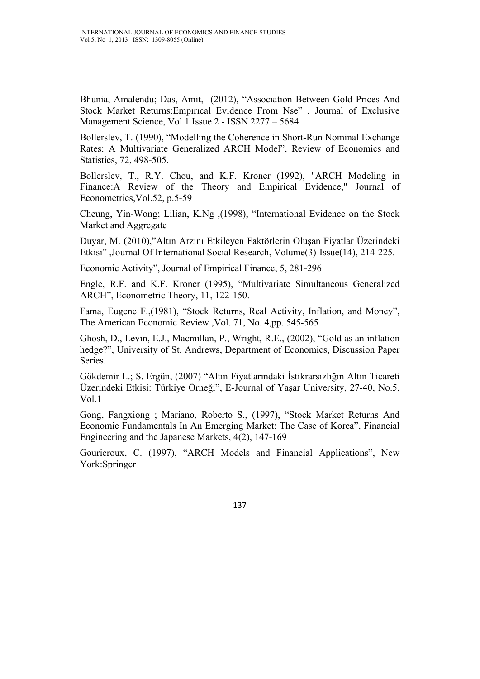Bhunia, Amalendu; Das, Amit, (2012), "Assocıatıon Between Gold Prıces And Stock Market Returns:Empırıcal Evıdence From Nse" , Journal of Exclusive Management Science, Vol 1 Issue 2 - ISSN 2277 – 5684

Bollerslev, T. (1990), "Modelling the Coherence in Short-Run Nominal Exchange Rates: A Multivariate Generalized ARCH Model", Review of Economics and Statistics, 72, 498-505.

Bollerslev, T., R.Y. Chou, and K.F. Kroner (1992), "ARCH Modeling in Finance:A Review of the Theory and Empirical Evidence," Journal of Econometrics,Vol.52, p.5-59

Cheung, Yin-Wong; Lilian, K.Ng ,(1998), "International Evidence on the Stock Market and Aggregate

Duyar, M. (2010),"Altın Arzını Etkileyen Faktörlerin Oluşan Fiyatlar Üzerindeki Etkisi" ,Journal Of International Social Research, Volume(3)-Issue(14), 214-225.

Economic Activity", Journal of Empirical Finance, 5, 281-296

Engle, R.F. and K.F. Kroner (1995), "Multivariate Simultaneous Generalized ARCH", Econometric Theory, 11, 122-150.

Fama, Eugene F.,(1981), "Stock Returns, Real Activity, Inflation, and Money", The American Economic Review ,Vol. 71, No. 4,pp. 545-565

Ghosh, D., Levın, E.J., Macmıllan, P., Wrıght, R.E., (2002), "Gold as an inflation hedge?", University of St. Andrews, Department of Economics, Discussion Paper Series.

Gökdemir L.; S. Ergün, (2007) "Altın Fiyatlarındaki İstikrarsızlığın Altın Ticareti Üzerindeki Etkisi: Türkiye Örneği", E-Journal of Yaşar University, 27-40, No.5, Vol.1

Gong, Fangxiong ; Mariano, Roberto S., (1997), "Stock Market Returns And Economic Fundamentals In An Emerging Market: The Case of Korea", Financial Engineering and the Japanese Markets, 4(2), 147-169

Gourieroux, C. (1997), "ARCH Models and Financial Applications", New York:Springer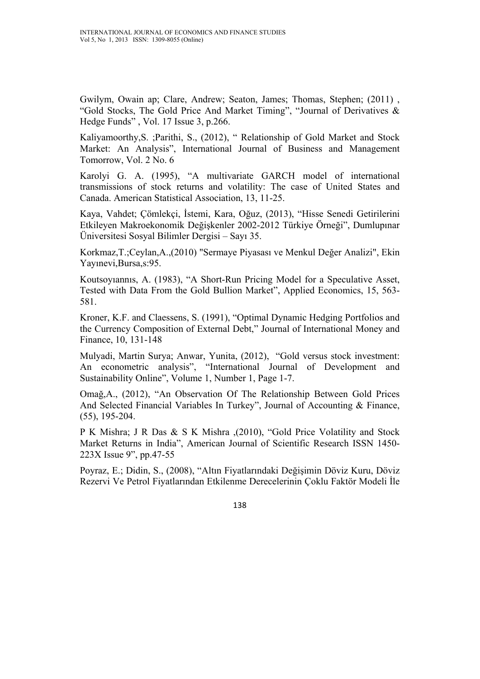Gwilym, Owain ap; Clare, Andrew; Seaton, James; Thomas, Stephen; (2011) , "Gold Stocks, The Gold Price And Market Timing", "Journal of Derivatives & Hedge Funds" , Vol. 17 Issue 3, p.266.

Kaliyamoorthy,S. ;Parithi, S., (2012), " Relationship of Gold Market and Stock Market: An Analysis", International Journal of Business and Management Tomorrow, Vol. 2 No. 6

Karolyi G. A. (1995), "A multivariate GARCH model of international transmissions of stock returns and volatility: The case of United States and Canada. American Statistical Association, 13, 11-25.

Kaya, Vahdet; Çömlekçi, İstemi, Kara, Oğuz, (2013), "Hisse Senedi Getirilerini Etkileyen Makroekonomik Değişkenler 2002-2012 Türkiye Örneği", Dumlupınar Üniversitesi Sosyal Bilimler Dergisi – Sayı 35.

Korkmaz,T.;Ceylan,A.,(2010) "Sermaye Piyasası ve Menkul Değer Analizi", Ekin Yayınevi,Bursa,s:95.

Koutsoyıannıs, A. (1983), "A Short-Run Pricing Model for a Speculative Asset, Tested with Data From the Gold Bullion Market", Applied Economics, 15, 563- 581.

Kroner, K.F. and Claessens, S. (1991), "Optimal Dynamic Hedging Portfolios and the Currency Composition of External Debt," Journal of International Money and Finance, 10, 131-148

Mulyadi, Martin Surya; Anwar, Yunita, (2012), "Gold versus stock investment: An econometric analysis", "International Journal of Development and Sustainability Online", Volume 1, Number 1, Page 1-7.

Omağ,A., (2012), "An Observation Of The Relationship Between Gold Prices And Selected Financial Variables In Turkey", Journal of Accounting & Finance, (55), 195-204.

P K Mishra; J R Das & S K Mishra ,(2010), "Gold Price Volatility and Stock Market Returns in India", American Journal of Scientific Research ISSN 1450- 223X Issue 9", pp.47-55

Poyraz, E.; Didin, S., (2008), "Altın Fiyatlarındaki Değişimin Döviz Kuru, Döviz Rezervi Ve Petrol Fiyatlarından Etkilenme Derecelerinin Çoklu Faktör Modeli İle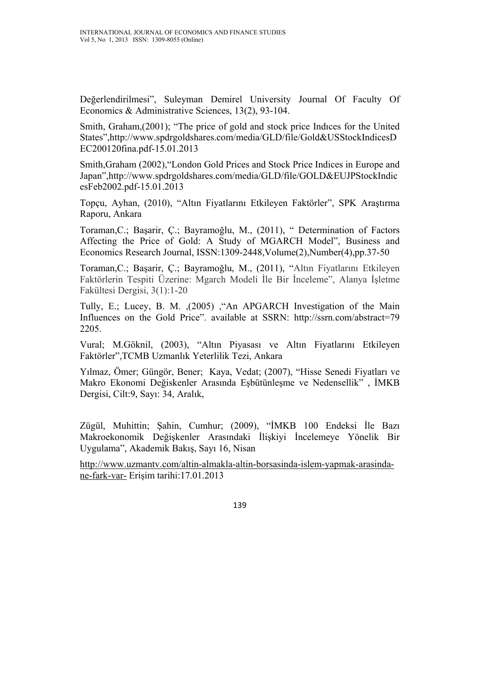Değerlendirilmesi", Suleyman Demirel University Journal Of Faculty Of Economics & Administrative Sciences, 13(2), 93-104.

Smith, Graham,(2001); "The price of gold and stock price Indıces for the United States",http://www.spdrgoldshares.com/media/GLD/file/Gold&USStockIndicesD EC200120fina.pdf-15.01.2013

Smith,Graham (2002),"London Gold Prices and Stock Price Indices in Europe and Japan",http://www.spdrgoldshares.com/media/GLD/file/GOLD&EUJPStockIndic esFeb2002.pdf-15.01.2013

Topçu, Ayhan, (2010), "Altın Fiyatlarını Etkileyen Faktörler", SPK Araştırma Raporu, Ankara

Toraman,C.; Başarir, Ç.; Bayramoğlu, M., (2011), " Determination of Factors Affecting the Price of Gold: A Study of MGARCH Model", Business and Economics Research Journal, ISSN:1309-2448,Volume(2),Number(4),pp.37-50

Toraman,C.; Başarir, Ç.; Bayramoğlu, M., (2011), "Altın Fiyatlarını Etkileyen Faktörlerin Tespiti Üzerine: Mgarch Modeli İle Bir İnceleme", Alanya İşletme Fakültesi Dergisi, 3(1):1-20

Tully, E.; Lucey, B. M. ,(2005) ,"An APGARCH Investigation of the Main Influences on the Gold Price". available at SSRN: http://ssrn.com/abstract=79 2205.

Vural; M.Göknil, (2003), "Altın Piyasası ve Altın Fiyatlarını Etkileyen Faktörler",TCMB Uzmanlık Yeterlilik Tezi, Ankara

Yılmaz, Ömer; Güngör, Bener; Kaya, Vedat; (2007), "Hisse Senedi Fiyatları ve Makro Ekonomi Değiskenler Arasında Eşbütünleşme ve Nedensellik" , İMKB Dergisi, Cilt:9, Sayı: 34, Aralık,

Zügül, Muhittin; Şahin, Cumhur; (2009), "İMKB 100 Endeksi İle Bazı Makroekonomik Değişkenler Arasındaki İlişkiyi İncelemeye Yönelik Bir Uygulama", Akademik Bakış, Sayı 16, Nisan

http://www.uzmantv.com/altin-almakla-altin-borsasinda-islem-yapmak-arasindane-fark-var- Erişim tarihi:17.01.2013